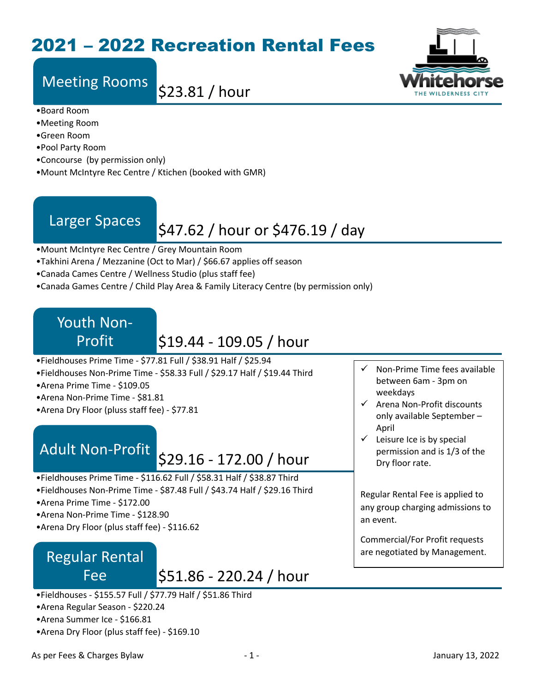## 2021 – 2022 Recreation Rental Fees

# Meeting Rooms \$23.81 / hour



- •Board Room
- •Meeting Room
- •Green Room
- •Pool Party Room
- •Concourse (by permission only)
- •Mount McIntyre Rec Centre / Ktichen (booked with GMR)

# Larger Spaces  $\left| \frac{$47.62}{} \right|$  hour or \$476.19 / day

- •Mount McIntyre Rec Centre / Grey Mountain Room
- •Takhini Arena / Mezzanine (Oct to Mar) / \$66.67 applies off season
- •Canada Cames Centre / Wellness Studio (plus staff fee)
- •Canada Games Centre / Child Play Area & Family Literacy Centre (by permission only)

## Youth Non-Profit

## \$19.44 - 109.05 / hour

- •Fieldhouses Prime Time \$77.81 Full / \$38.91 Half / \$25.94
- •Fieldhouses Non-Prime Time \$58.33 Full / \$29.17 Half / \$19.44 Third
- •Arena Prime Time \$109.05
- •Arena Non-Prime Time \$81.81
- •Arena Dry Floor (pluss staff fee) \$77.81

# Adult Non-Profit 529.16 - 172.00 / hour

- •Fieldhouses Prime Time \$116.62 Full / \$58.31 Half / \$38.87 Third
- •Fieldhouses Non-Prime Time \$87.48 Full / \$43.74 Half / \$29.16 Third
- •Arena Prime Time \$172.00
- •Arena Non-Prime Time \$128.90
- •Arena Dry Floor (plus staff fee) \$116.62

### Regular Rental Fee

\$51.86 - 220.24 / hour

- •Fieldhouses \$155.57 Full / \$77.79 Half / \$51.86 Third
- •Arena Regular Season \$220.24
- •Arena Summer Ice \$166.81
- •Arena Dry Floor (plus staff fee) \$169.10
- $\checkmark$  Non-Prime Time fees available between 6am - 3pm on weekdays
- $\checkmark$  Arena Non-Profit discounts only available September – April
- $\checkmark$  Leisure Ice is by special permission and is 1/3 of the Dry floor rate.

Regular Rental Fee is applied to any group charging admissions to an event.

Commercial/For Profit requests are negotiated by Management.